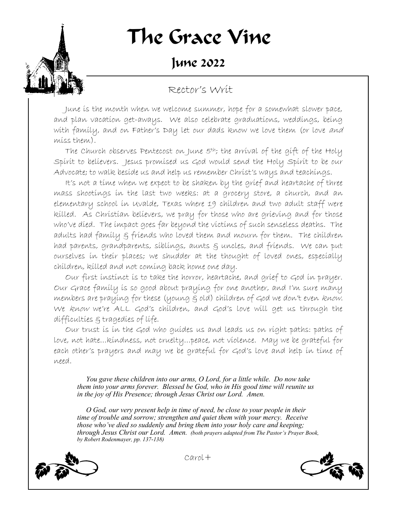# The Grace Vine

### June 2022

#### Rector's Writ

June is the month when we welcome summer, hope for a somewhat slower pace, and plan vacation get-aways. We also celebrate graduations, weddings, being with family, and on Father's Day let our dads know we love them (or love and miss them).

The Church observes Pentecost on June 5th; the arrival of the gift of the Holy Spirit to believers. Jesus promised us God would send the Holy Spirit to be our Advocate; to walk beside us and help us remember Christ's ways and teachings.

It's not a time when we expect to be shaken by the grief and heartache of three mass shootings in the last two weeks: at a grocery store, a church, and an elementary school in Uvalde, Texas where 19 children and two adult staff were killed. As Christian believers, we pray for those who are grieving and for those who've died. The impact goes far beyond the victims of such senseless deaths. The adults had family & friends who loved them and mourn for them. The children had parents, grandparents, siblings, aunts  $\xi$  uncles, and friends. We can put ourselves in their places; we shudder at the thought of loved ones, especially children, killed and not coming back home one day.

Our first instinct is to take the horror, heartache, and grief to God in prayer. Our Grace family is so good about praying for one another, and I'm sure many members are praying for these (young g old) children of God we don't even know. We know we're ALL God's children, and God's love will get us through the difficulties & tragedies of life.

Our trust is in the God who guides us and leads us on right paths: paths of love, not hate…kindness, not cruelty…peace, not violence. May we be grateful for each other's prayers and may we be grateful for God's love and help in time of need.

 *You gave these children into our arms, O Lord, for a little while. Do now take them into your arms forever. Blessed be God, who in His good time will reunite us in the joy of His Presence; through Jesus Christ our Lord. Amen.* 

 *O God, our very present help in time of need, be close to your people in their time of trouble and sorrow; strengthen and quiet them with your mercy. Receive those who've died so suddenly and bring them into your holy care and keeping; through Jesus Christ our Lord. Amen. (both prayers adapted from The Pastor's Prayer Book, by Robert Rodenmayer, pp. 137-138)*



Carol+

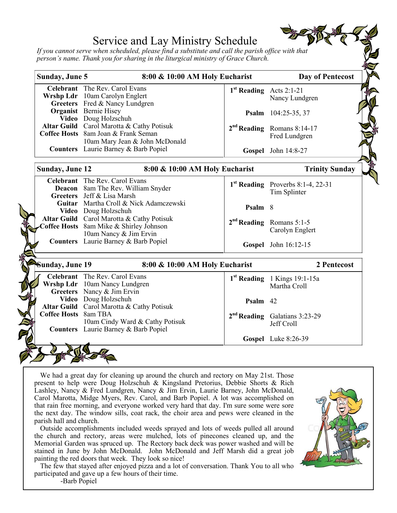#### Service and Lay Ministry Schedule

*If you cannot serve when scheduled, please find a substitute and call the parish office with that person's name. Thank you for sharing in the liturgical ministry of Grace Church.*

| Sunday, June 5<br>8:00 & 10:00 AM Holy Eucharist |                                                          |                                     | <b>Day of Pentecost</b>                       |  |
|--------------------------------------------------|----------------------------------------------------------|-------------------------------------|-----------------------------------------------|--|
|                                                  | <b>Celebrant</b> The Rev. Carol Evans                    | 1 <sup>st</sup> Reading Acts 2:1-21 |                                               |  |
|                                                  | Wrshp Ldr 10am Carolyn Englert                           |                                     | Nancy Lundgren                                |  |
|                                                  | Greeters Fred & Nancy Lundgren                           |                                     |                                               |  |
|                                                  | <b>Organist</b> Bernie Hisey                             |                                     | Psalm 104:25-35, 37                           |  |
|                                                  | Video Doug Holzschuh                                     |                                     |                                               |  |
|                                                  | Altar Guild Carol Marotta & Cathy Potisuk                |                                     | 2 <sup>nd</sup> Reading Romans 8:14-17        |  |
|                                                  | Coffee Hosts 8am Joan & Frank Seman                      |                                     | Fred Lundgren                                 |  |
|                                                  | 10am Mary Jean & John McDonald                           |                                     |                                               |  |
|                                                  | <b>Counters</b> Laurie Barney & Barb Popiel              |                                     | Gospel John 14:8-27                           |  |
|                                                  | <b>Sunday, June 12</b><br>8:00 & 10:00 AM Holy Eucharist |                                     | <b>Trinity Sunday</b>                         |  |
|                                                  | Celebrant The Rev. Carol Evans                           |                                     | 1 <sup>st</sup> Reading Proverbs 8:1-4, 22-31 |  |
|                                                  | Deacon 8am The Rev. William Snyder                       |                                     | Tim Splinter                                  |  |
|                                                  | Greeters Jeff & Lisa Marsh                               |                                     |                                               |  |
|                                                  | Guitar Martha Croll & Nick Adamczewski                   | Psalm 8                             |                                               |  |
|                                                  | Video Doug Holzschuh                                     |                                     |                                               |  |
|                                                  | Altar Guild Carol Marotta & Cathy Potisuk                |                                     | 2 <sup>nd</sup> Reading Romans 5:1-5          |  |
|                                                  | Coffee Hosts 8am Mike & Shirley Johnson                  |                                     | Carolyn Englert                               |  |
|                                                  | 10am Nancy & Jim Ervin                                   |                                     |                                               |  |
|                                                  | <b>Counters</b> Laurie Barney & Barb Popiel              |                                     | Gospel John 16:12-15                          |  |
| Sunday, June 19                                  | 8:00 & 10:00 AM Holy Eucharist                           |                                     | 2 Pentecost                                   |  |
|                                                  | <b>Celebrant</b> The Rev. Carol Evans                    |                                     |                                               |  |
|                                                  | Wrshp Ldr 10am Nancy Lundgren                            |                                     | 1 <sup>st</sup> Reading 1 Kings 19:1-15a      |  |
|                                                  | Greeters Nancy & Jim Ervin                               |                                     | Martha Croll                                  |  |
|                                                  | Video Doug Holzschuh                                     | Psalm 42                            |                                               |  |
|                                                  | Altar Guild Carol Marotta & Cathy Potisuk                |                                     |                                               |  |
| Coffee Hosts 8am TBA                             |                                                          |                                     | 2 <sup>nd</sup> Reading Galatians 3:23-29     |  |
|                                                  | 10am Cindy Ward & Cathy Potisuk                          |                                     | Jeff Croll                                    |  |
|                                                  | <b>Counters</b> Laurie Barney & Barb Popiel              |                                     |                                               |  |
|                                                  |                                                          |                                     | Gospel Luke 8:26-39                           |  |

We had a great day for cleaning up around the church and rectory on May 21st. Those present to help were Doug Holzschuh & Kingsland Pretorius, Debbie Shorts & Rich Lashley, Nancy & Fred Lundgren, Nancy & Jim Ervin, Laurie Barney, John McDonald, Carol Marotta, Midge Myers, Rev. Carol, and Barb Popiel. A lot was accomplished on that rain free morning, and everyone worked very hard that day. I'm sure some were sore the next day. The window sills, coat rack, the choir area and pews were cleaned in the parish hall and church.

Outside accomplishments included weeds sprayed and lots of weeds pulled all around the church and rectory, areas were mulched, lots of pinecones cleaned up, and the Memorial Garden was spruced up. The Rectory back deck was power washed and will be stained in June by John McDonald. John McDonald and Jeff Marsh did a great job painting the red doors that week. They look so nice!

The few that stayed after enjoyed pizza and a lot of conversation. Thank You to all who participated and gave up a few hours of their time. -Barb Popiel

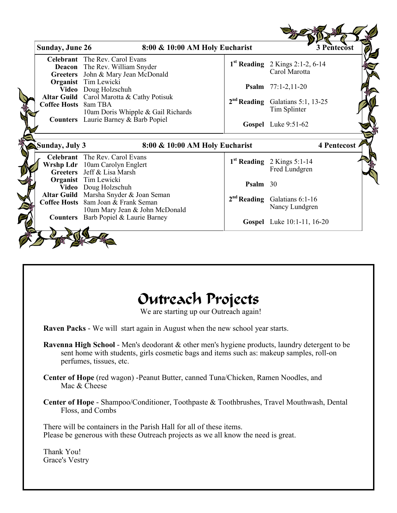| <b>Sunday, June 26</b> | 8:00 & 10:00 AM Holy Eucharist                                                                                  |          | 3 Pentecost                                                  |
|------------------------|-----------------------------------------------------------------------------------------------------------------|----------|--------------------------------------------------------------|
|                        | Celebrant The Rev. Carol Evans<br><b>Deacon</b> The Rev. William Snyder                                         |          | $1st$ Reading 2 Kings 2:1-2, 6-14<br>Carol Marotta           |
|                        | Greeters John & Mary Jean McDonald<br><b>Organist</b> Tim Lewicki<br>Video Doug Holzschuh                       |          | <b>Psalm</b> $77:1-2,11-20$                                  |
| Coffee Hosts 8am TBA   | Altar Guild Carol Marotta & Cathy Potisuk<br>10am Doris Whipple & Gail Richards                                 |          | 2 <sup>nd</sup> Reading Galatians 5:1, 13-25<br>Tim Splinter |
|                        | <b>Counters</b> Laurie Barney & Barb Popiel                                                                     |          | Gospel Luke 9:51-62                                          |
| Sunday, July 3         | 8:00 & 10:00 AM Holy Eucharist                                                                                  |          | 4 Pentecost A                                                |
|                        | Celebrant The Rev. Carol Evans                                                                                  |          | $1st$ Reading 2 Kings 5:1-14                                 |
|                        | Wrshp Ldr 10am Carolyn Englert                                                                                  |          |                                                              |
|                        | Greeters Jeff & Lisa Marsh<br><b>Organist</b> Tim Lewicki<br>Video Doug Holzschuh                               | Psalm 30 | Fred Lundgren                                                |
|                        | Altar Guild Marsha Snyder & Joan Seman<br>Coffee Hosts 8am Joan & Frank Seman<br>10am Mary Jean & John McDonald |          | 2 <sup>nd</sup> Reading Galatians 6:1-16<br>Nancy Lundgren   |

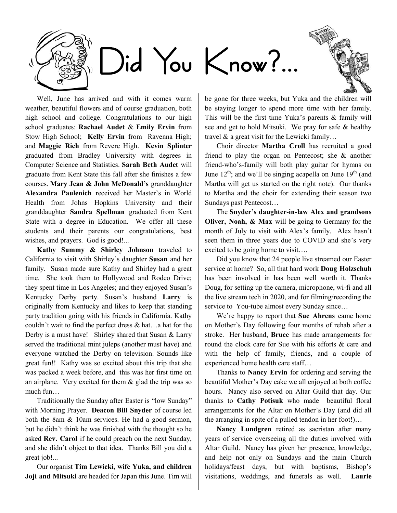

Well, June has arrived and with it comes warm weather, beautiful flowers and of course graduation, both high school and college. Congratulations to our high school graduates: **Rachael Audet** & **Emily Ervin** from Stow High School; **Kelly Ervin** from Ravenna High; and **Maggie Rich** from Revere High. **Kevin Splinter**  graduated from Bradley University with degrees in Computer Science and Statistics. **Sarah Beth Audet** will graduate from Kent State this fall after she finishes a few courses. **Mary Jean & John McDonald's** granddaughter **Alexandra Paulenich** received her Master's in World Health from Johns Hopkins University and their granddaughter **Sandra Spellman** graduated from Kent State with a degree in Education. We offer all these students and their parents our congratulations, best wishes, and prayers. God is good!...

**Kathy Summy & Shirley Johnson** traveled to California to visit with Shirley's daughter **Susan** and her family. Susan made sure Kathy and Shirley had a great time. She took them to Hollywood and Rodeo Drive; they spent time in Los Angeles; and they enjoyed Susan's Kentucky Derby party. Susan's husband **Larry** is originally from Kentucky and likes to keep that standing party tradition going with his friends in California. Kathy couldn't wait to find the perfect dress & hat…a hat for the Derby is a must have! Shirley shared that Susan & Larry served the traditional mint juleps (another must have) and everyone watched the Derby on television. Sounds like great fun!! Kathy was so excited about this trip that she was packed a week before, and this was her first time on an airplane. Very excited for them & glad the trip was so much fun…

Traditionally the Sunday after Easter is "low Sunday" with Morning Prayer. **Deacon Bill Snyder** of course led both the 8am & 10am services. He had a good sermon, but he didn't think he was finished with the thought so he asked **Rev. Carol** if he could preach on the next Sunday, and she didn't object to that idea. Thanks Bill you did a great job!...

Our organist **Tim Lewicki, wife Yuka, and children Joji and Mitsuki** are headed for Japan this June. Tim will

be gone for three weeks, but Yuka and the children will be staying longer to spend more time with her family. This will be the first time Yuka's parents & family will see and get to hold Mitsuki. We pray for safe & healthy travel & a great visit for the Lewicki family…

Choir director **Martha Croll** has recruited a good friend to play the organ on Pentecost; she & another friend-who's-family will both play guitar for hymns on June  $12^{th}$ ; and we'll be singing acapella on June  $19^{th}$  (and Martha will get us started on the right note). Our thanks to Martha and the choir for extending their season two Sundays past Pentecost…

The **Snyder's daughter-in-law Alex and grandsons Oliver, Noah, & Max** will be going to Germany for the month of July to visit with Alex's family. Alex hasn't seen them in three years due to COVID and she's very excited to be going home to visit….

Did you know that 24 people live streamed our Easter service at home? So, all that hard work **Doug Holzschuh**  has been involved in has been well worth it. Thanks Doug, for setting up the camera, microphone, wi-fi and all the live stream tech in 2020, and for filming/recording the service to You-tube almost every Sunday since…

We're happy to report that **Sue Ahrens** came home on Mother's Day following four months of rehab after a stroke. Her husband, **Bruce** has made arrangements for round the clock care for Sue with his efforts & care and with the help of family, friends, and a couple of experienced home health care staff…

Thanks to **Nancy Ervin** for ordering and serving the beautiful Mother's Day cake we all enjoyed at both coffee hours. Nancy also served on Altar Guild that day. Our thanks to **Cathy Potisuk** who made beautiful floral arrangements for the Altar on Mother's Day (and did all the arranging in spite of a pulled tendon in her foot!)…

**Nancy Lundgren** retired as sacristan after many years of service overseeing all the duties involved with Altar Guild. Nancy has given her presence, knowledge, and help not only on Sundays and the main Church holidays/feast days, but with baptisms, Bishop's visitations, weddings, and funerals as well. **Laurie**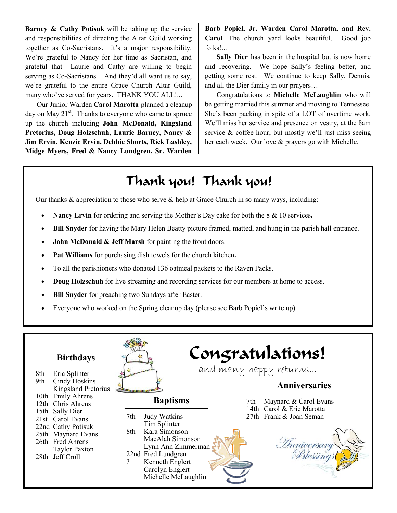**Barney & Cathy Potisuk** will be taking up the service and responsibilities of directing the Altar Guild working together as Co-Sacristans. It's a major responsibility. We're grateful to Nancy for her time as Sacristan, and grateful that Laurie and Cathy are willing to begin serving as Co-Sacristans. And they'd all want us to say, we're grateful to the entire Grace Church Altar Guild, many who've served for years. THANK YOU ALL!...

Our Junior Warden **Carol Marotta** planned a cleanup day on May  $21^{st}$ . Thanks to everyone who came to spruce up the church including **John McDonald, Kingsland Pretorius, Doug Holzschuh, Laurie Barney, Nancy & Jim Ervin, Kenzie Ervin, Debbie Shorts, Rick Lashley, Midge Myers, Fred & Nancy Lundgren, Sr. Warden**  **Barb Popiel, Jr. Warden Carol Marotta, and Rev. Carol**. The church yard looks beautiful. Good job folks!...

**Sally Dier** has been in the hospital but is now home and recovering. We hope Sally's feeling better, and getting some rest. We continue to keep Sally, Dennis, and all the Dier family in our prayers…

Congratulations to **Michelle McLaughlin** who will be getting married this summer and moving to Tennessee. She's been packing in spite of a LOT of overtime work. We'll miss her service and presence on vestry, at the 8am service & coffee hour, but mostly we'll just miss seeing her each week. Our love & prayers go with Michelle.

### Thank you! Thank you!

Our thanks & appreciation to those who serve & help at Grace Church in so many ways, including:

- **Nancy Ervin** for ordering and serving the Mother's Day cake for both the 8 & 10 services**.**
- **Bill Snyder** for having the Mary Helen Beatty picture framed, matted, and hung in the parish hall entrance.
- **John McDonald & Jeff Marsh** for painting the front doors.
- **Pat Williams** for purchasing dish towels for the church kitchen**.**
- To all the parishioners who donated 136 oatmeal packets to the Raven Packs.
- **Doug Holzschuh** for live streaming and recording services for our members at home to access.
- **Bill Snyder** for preaching two Sundays after Easter.
- Everyone who worked on the Spring cleanup day (please see Barb Popiel's write up)

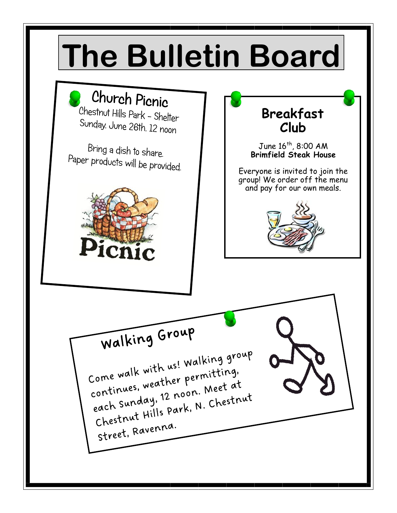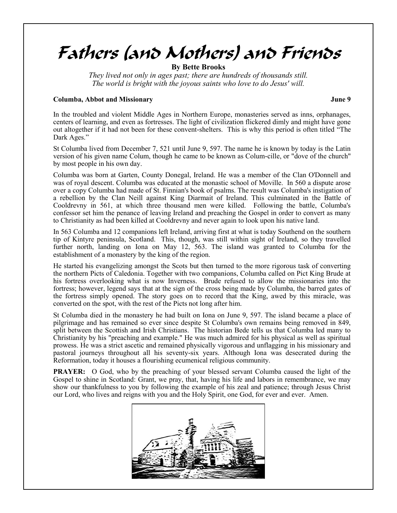## Fathers (and Mothers) and Friends

**By Bette Brooks**

*They lived not only in ages past; there are hundreds of thousands still. The world is bright with the joyous saints who love to do Jesus' will.*

#### **Columba, Abbot and Missionary June 9**

In the troubled and violent Middle Ages in Northern Europe, monasteries served as inns, orphanages, centers of learning, and even as fortresses. The light of civilization flickered dimly and might have gone out altogether if it had not been for these convent-shelters. This is why this period is often titled "The Dark Ages."

St Columba lived from December 7, 521 until June 9, 597. The name he is known by today is the Latin version of his given name Colum, though he came to be known as Colum-cille, or "dove of the church" by most people in his own day.

Columba was born at Garten, County Donegal, Ireland. He was a member of the Clan O'Donnell and was of royal descent. Columba was educated at the monastic school of Moville. In 560 a dispute arose over a copy Columba had made of St. Finnian's book of psalms. The result was Columba's instigation of a rebellion by the Clan Neill against King Diarmait of Ireland. This culminated in the Battle of Cooldrevny in 561, at which three thousand men were killed. Following the battle, Columba's confessor set him the penance of leaving Ireland and preaching the Gospel in order to convert as many to Christianity as had been killed at Cooldrevny and never again to look upon his native land.

In 563 Columba and 12 companions left Ireland, arriving first at what is today Southend on the southern tip of Kintyre peninsula, Scotland. This, though, was still within sight of Ireland, so they travelled further north, landing on Iona on May 12, 563. The island was granted to Columba for the establishment of a monastery by the king of the region.

He started his evangelizing amongst the Scots but then turned to the more rigorous task of converting the northern Picts of Caledonia. Together with two companions, Columba called on Pict King Brude at his fortress overlooking what is now Inverness. Brude refused to allow the missionaries into the fortress; however, legend says that at the sign of the cross being made by Columba, the barred gates of the fortress simply opened. The story goes on to record that the King, awed by this miracle, was converted on the spot, with the rest of the Picts not long after him.

St Columba died in the monastery he had built on Iona on June 9, 597. The island became a place of pilgrimage and has remained so ever since despite St Columba's own remains being removed in 849, split between the Scottish and Irish Christians. The historian Bede tells us that Columba led many to Christianity by his "preaching and example." He was much admired for his physical as well as spiritual prowess. He was a strict ascetic and remained physically vigorous and unflagging in his missionary and pastoral journeys throughout all his seventy-six years. Although Iona was desecrated during the Reformation, today it houses a flourishing ecumenical religious community.

**PRAYER:** O God, who by the preaching of your blessed servant Columba caused the light of the Gospel to shine in Scotland: Grant, we pray, that, having his life and labors in remembrance, we may show our thankfulness to you by following the example of his zeal and patience; through Jesus Christ our Lord, who lives and reigns with you and the Holy Spirit, one God, for ever and ever. Amen.